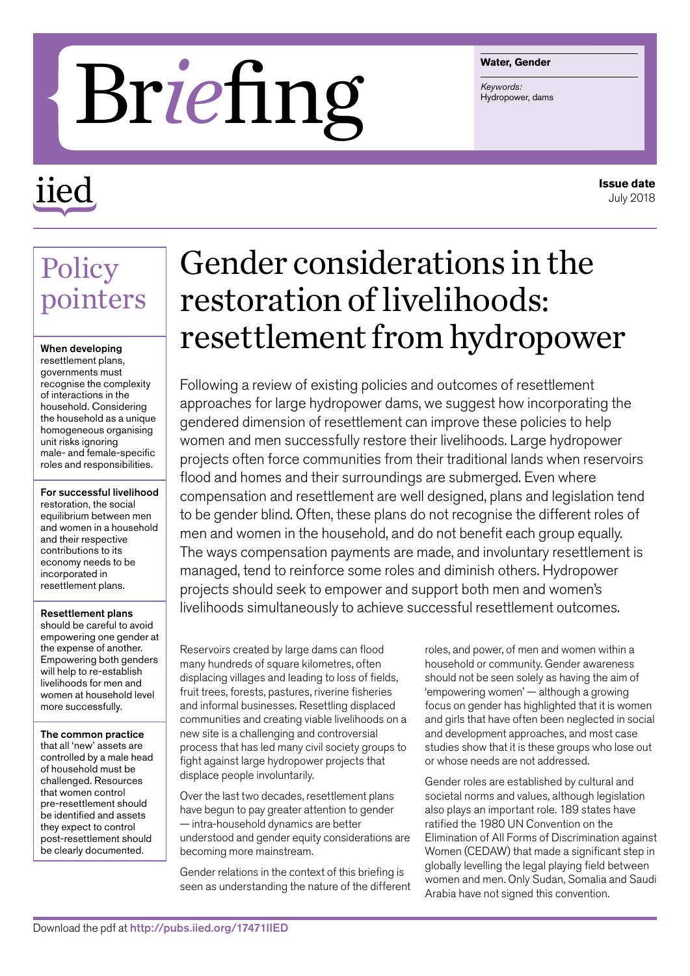#### **Water, Gender**

# **Brief Ing Straits:**

## iied

#### **Issue date** July 2018

### Policy pointers

#### When developing

resettlement plans, governments must recognise the complexity of interactions in the household. Considering the household as a unique homogeneous organising unit risks ignoring male- and female-specific roles and responsibilities.

For successful livelihood restoration, the social equilibrium between men and women in a household and their respective contributions to its economy needs to be incorporated in resettlement plans.

Resettlement plans should be careful to avoid empowering one gender at the expense of another. Empowering both genders will help to re-establish livelihoods for men and women at household level more successfully.

The common practice that all 'new' assets are controlled by a male head of household must be challenged. Resources that women control pre-resettlement should be identified and assets they expect to control post-resettlement should be clearly documented.

## Gender considerations in the restoration of livelihoods: resettlement from hydropower

Following a review of existing policies and outcomes of resettlement approaches for large hydropower dams, we suggest how incorporating the gendered dimension of resettlement can improve these policies to help women and men successfully restore their livelihoods. Large hydropower projects often force communities from their traditional lands when reservoirs flood and homes and their surroundings are submerged. Even where compensation and resettlement are well designed, plans and legislation tend to be gender blind. Often, these plans do not recognise the different roles of men and women in the household, and do not benefit each group equally. The ways compensation payments are made, and involuntary resettlement is managed, tend to reinforce some roles and diminish others. Hydropower projects should seek to empower and support both men and women's livelihoods simultaneously to achieve successful resettlement outcomes.

Reservoirs created by large dams can flood many hundreds of square kilometres, often displacing villages and leading to loss of fields, fruit trees, forests, pastures, riverine fisheries and informal businesses. Resettling displaced communities and creating viable livelihoods on a new site is a challenging and controversial process that has led many civil society groups to fight against large hydropower projects that displace people involuntarily.

Over the last two decades, resettlement plans have begun to pay greater attention to gender — intra-household dynamics are better understood and gender equity considerations are becoming more mainstream.

Gender relations in the context of this briefing is seen as understanding the nature of the different

roles, and power, of men and women within a household or community. Gender awareness should not be seen solely as having the aim of 'empowering women' — although a growing focus on gender has highlighted that it is women and girls that have often been neglected in social and development approaches, and most case studies show that it is these groups who lose out or whose needs are not addressed.

Gender roles are established by cultural and societal norms and values, although legislation also plays an important role. 189 states have ratified the 1980 UN Convention on the Elimination of All Forms of Discrimination against Women (CEDAW) that made a significant step in globally levelling the legal playing field between women and men. Only Sudan, Somalia and Saudi Arabia have not signed this convention.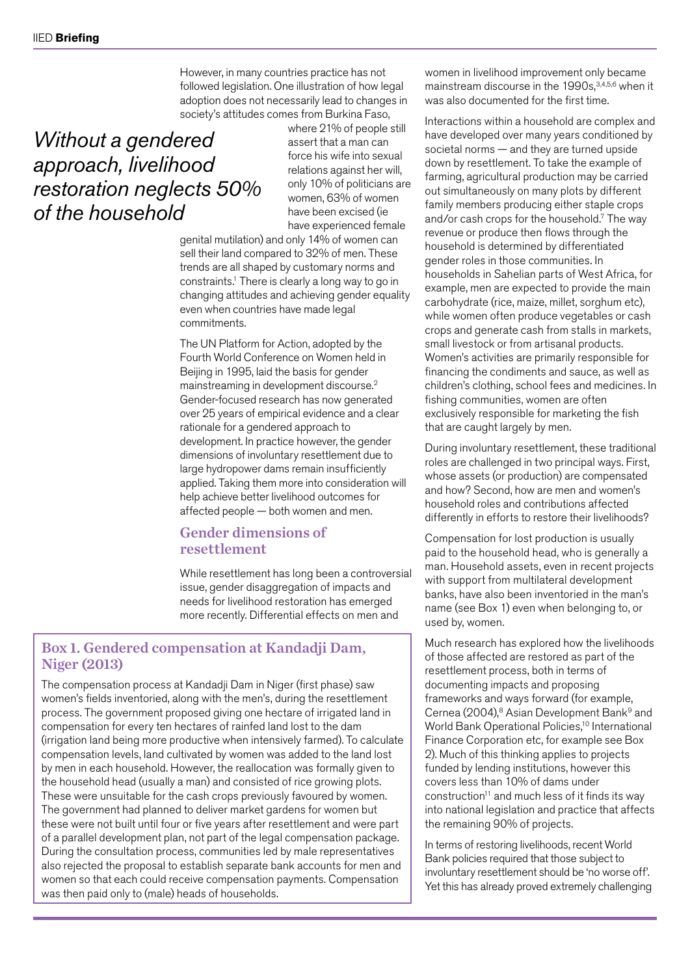However, in many countries practice has not followed legislation. One illustration of how legal adoption does not necessarily lead to changes in society's attitudes comes from Burkina Faso,

#### *Without a gendered approach, livelihood restoration neglects 50% of the household*

where 21% of people still assert that a man can force his wife into sexual relations against her will, only 10% of politicians are women, 63% of women have been excised (ie have experienced female

genital mutilation) and only 14% of women can sell their land compared to 32% of men. These trends are all shaped by customary norms and constraints.1 There is clearly a long way to go in changing attitudes and achieving gender equality even when countries have made legal commitments.

The UN Platform for Action, adopted by the Fourth World Conference on Women held in Beijing in 1995, laid the basis for gender mainstreaming in development discourse.2 Gender-focused research has now generated over 25 years of empirical evidence and a clear rationale for a gendered approach to development. In practice however, the gender dimensions of involuntary resettlement due to large hydropower dams remain insufficiently applied. Taking them more into consideration will help achieve better livelihood outcomes for affected people — both women and men.

#### Gender dimensions of resettlement

While resettlement has long been a controversial issue, gender disaggregation of impacts and needs for livelihood restoration has emerged more recently. Differential effects on men and

#### Box 1. Gendered compensation at Kandadji Dam, Niger (2013)

The compensation process at Kandadji Dam in Niger (first phase) saw women's fields inventoried, along with the men's, during the resettlement process. The government proposed giving one hectare of irrigated land in compensation for every ten hectares of rainfed land lost to the dam (irrigation land being more productive when intensively farmed). To calculate compensation levels, land cultivated by women was added to the land lost by men in each household. However, the reallocation was formally given to the household head (usually a man) and consisted of rice growing plots. These were unsuitable for the cash crops previously favoured by women. The government had planned to deliver market gardens for women but these were not built until four or five years after resettlement and were part of a parallel development plan, not part of the legal compensation package. During the consultation process, communities led by male representatives also rejected the proposal to establish separate bank accounts for men and women so that each could receive compensation payments. Compensation was then paid only to (male) heads of households.

women in livelihood improvement only became mainstream discourse in the 1990s,<sup>3,4,5,6</sup> when it was also documented for the first time.

Interactions within a household are complex and have developed over many years conditioned by societal norms — and they are turned upside down by resettlement. To take the example of farming, agricultural production may be carried out simultaneously on many plots by different family members producing either staple crops and/or cash crops for the household.7 The way revenue or produce then flows through the household is determined by differentiated gender roles in those communities. In households in Sahelian parts of West Africa, for example, men are expected to provide the main carbohydrate (rice, maize, millet, sorghum etc), while women often produce vegetables or cash crops and generate cash from stalls in markets, small livestock or from artisanal products. Women's activities are primarily responsible for financing the condiments and sauce, as well as children's clothing, school fees and medicines. In fishing communities, women are often exclusively responsible for marketing the fish that are caught largely by men.

During involuntary resettlement, these traditional roles are challenged in two principal ways. First, whose assets (or production) are compensated and how? Second, how are men and women's household roles and contributions affected differently in efforts to restore their livelihoods?

Compensation for lost production is usually paid to the household head, who is generally a man. Household assets, even in recent projects with support from multilateral development banks, have also been inventoried in the man's name (see Box 1) even when belonging to, or used by, women.

Much research has explored how the livelihoods of those affected are restored as part of the resettlement process, both in terms of documenting impacts and proposing frameworks and ways forward (for example, Cernea (2004),<sup>8</sup> Asian Development Bank<sup>9</sup> and World Bank Operational Policies,<sup>10</sup> International Finance Corporation etc, for example see Box 2). Much of this thinking applies to projects funded by lending institutions, however this covers less than 10% of dams under construction<sup>11</sup> and much less of it finds its way into national legislation and practice that affects the remaining 90% of projects.

In terms of restoring livelihoods, recent World Bank policies required that those subject to involuntary resettlement should be 'no worse off'. Yet this has already proved extremely challenging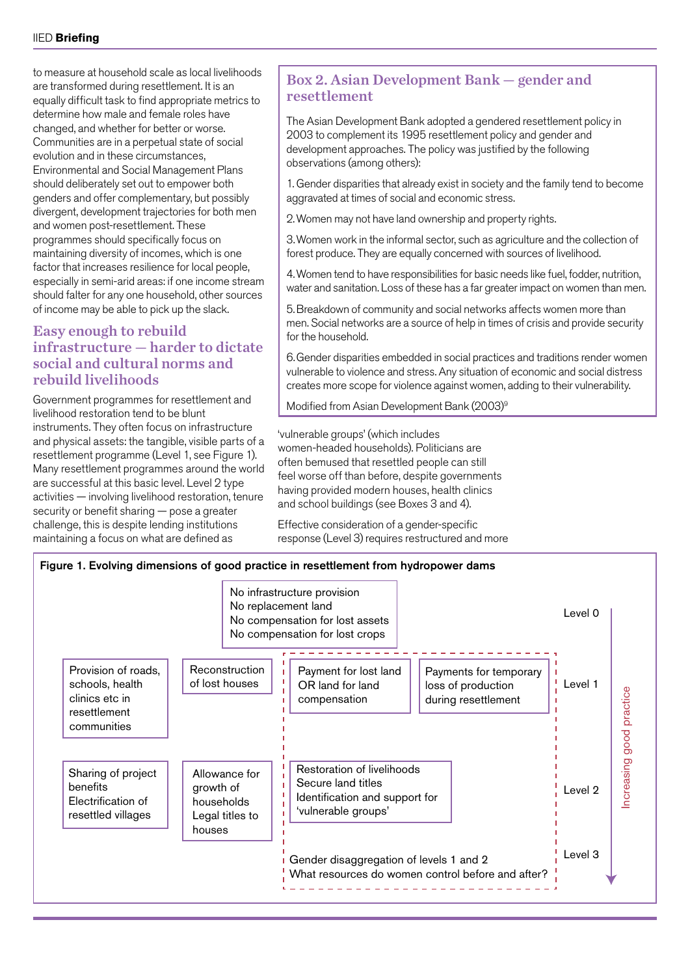to measure at household scale as local livelihoods are transformed during resettlement. It is an equally difficult task to find appropriate metrics to determine how male and female roles have changed, and whether for better or worse. Communities are in a perpetual state of social evolution and in these circumstances, Environmental and Social Management Plans should deliberately set out to empower both genders and offer complementary, but possibly divergent, development trajectories for both men and women post-resettlement. These programmes should specifically focus on maintaining diversity of incomes, which is one factor that increases resilience for local people, especially in semi-arid areas: if one income stream should falter for any one household, other sources of income may be able to pick up the slack.

#### Easy enough to rebuild infrastructure — harder to dictate social and cultural norms and rebuild livelihoods

Government programmes for resettlement and livelihood restoration tend to be blunt instruments. They often focus on infrastructure and physical assets: the tangible, visible parts of a resettlement programme (Level 1, see Figure 1). Many resettlement programmes around the world are successful at this basic level. Level 2 type activities — involving livelihood restoration, tenure security or benefit sharing — pose a greater challenge, this is despite lending institutions maintaining a focus on what are defined as

#### Box 2. Asian Development Bank — gender and resettlement

The Asian Development Bank adopted a gendered resettlement policy in 2003 to complement its 1995 resettlement policy and gender and development approaches. The policy was justified by the following observations (among others):

1. Gender disparities that already exist in society and the family tend to become aggravated at times of social and economic stress.

2.Women may not have land ownership and property rights.

3.Women work in the informal sector, such as agriculture and the collection of forest produce. They are equally concerned with sources of livelihood.

4.Women tend to have responsibilities for basic needs like fuel, fodder, nutrition, water and sanitation. Loss of these has a far greater impact on women than men.

5.Breakdown of community and social networks affects women more than men. Social networks are a source of help in times of crisis and provide security for the household.

6.Gender disparities embedded in social practices and traditions render women vulnerable to violence and stress. Any situation of economic and social distress creates more scope for violence against women, adding to their vulnerability.

Modified from Asian Development Bank (2003)9

'vulnerable groups' (which includes women-headed households). Politicians are often bemused that resettled people can still feel worse off than before, despite governments having provided modern houses, health clinics and school buildings (see Boxes 3 and 4).

Effective consideration of a gender-specific response (Level 3) requires restructured and more